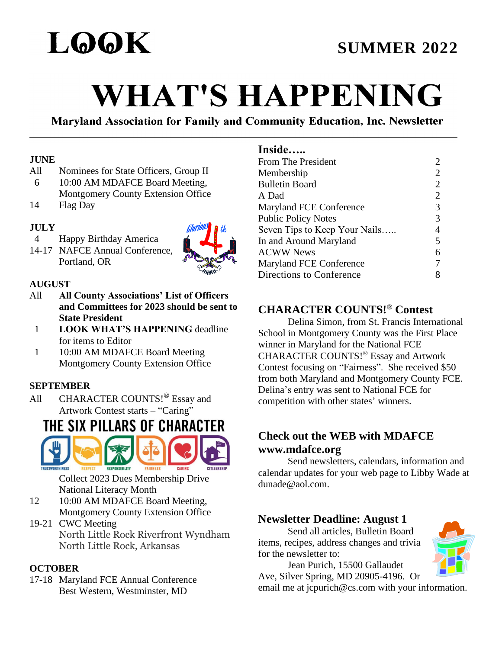

# **WHAT'S HAPPENING**

Maryland Association for Family and Community Education, Inc. Newsletter

#### **JUNE**

- All Nominees for State Officers, Group II
- 6 10:00 AM MDAFCE Board Meeting,
- Montgomery County Extension Office
- 14 Flag Day

# **JULY**

- 4 Happy Birthday America
- 14-17 NAFCE Annual Conference, Portland, OR



#### **AUGUST**

- All **All County Associations' List of Officers and Committees for 2023 should be sent to State President**
	- 1 **LOOK WHAT'S HAPPENING** deadline for items to Editor
- 1 10:00 AM MDAFCE Board Meeting Montgomery County Extension Office

# **SEPTEMBER**

All CHARACTER COUNTS!**®** Essay and Artwork Contest starts – "Caring"

# THE SIX PILLARS OF CHARACTER



Collect 2023 Dues Membership Drive National Literacy Month

- 12 10:00 AM MDAFCE Board Meeting, Montgomery County Extension Office
- 19-21 CWC Meeting North Little Rock Riverfront Wyndham North Little Rock, Arkansas

#### **OCTOBER**

17-18 Maryland FCE Annual Conference Best Western, Westminster, MD

# **Inside…..**

| From The President             | 2              |
|--------------------------------|----------------|
| Membership                     | 2              |
| <b>Bulletin Board</b>          | 2              |
| A Dad                          | $\overline{2}$ |
| <b>Maryland FCE Conference</b> | 3              |
| <b>Public Policy Notes</b>     | 3              |
| Seven Tips to Keep Your Nails  | 4              |
| In and Around Maryland         | 5              |
| <b>ACWW News</b>               | 6              |
| <b>Maryland FCE Conference</b> | 7              |
| Directions to Conference       | 8              |

# **CHARACTER COUNTS!® Contest**

Delina Simon, from St. Francis International School in Montgomery County was the First Place winner in Maryland for the National FCE CHARACTER COUNTS!® Essay and Artwork Contest focusing on "Fairness". She received \$50 from both Maryland and Montgomery County FCE. Delina's entry was sent to National FCE for competition with other states' winners.

# **Check out the WEB with MDAFCE www.mdafce.org**

Send newsletters, calendars, information and calendar updates for your web page to Libby Wade at dunade@aol.com.

# **Newsletter Deadline: August 1**

Send all articles, Bulletin Board items, recipes, address changes and trivia for the newsletter to:



Jean Purich, 15500 Gallaudet Ave, Silver Spring, MD 20905-4196. Or

email me at jcpurich@cs.com with your information.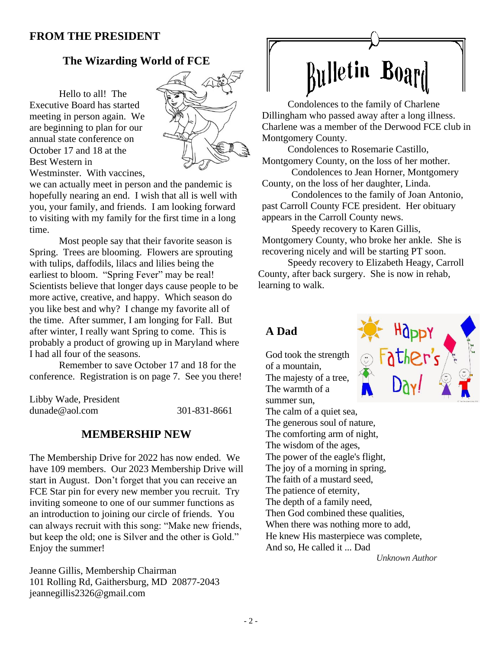#### **FROM THE PRESIDENT**

## **The Wizarding World of FCE**

Hello to all! The Executive Board has started meeting in person again. We are beginning to plan for our annual state conference on October 17 and 18 at the Best Western in Westminster. With vaccines,



we can actually meet in person and the pandemic is hopefully nearing an end. I wish that all is well with you, your family, and friends. I am looking forward to visiting with my family for the first time in a long time.

Most people say that their favorite season is Spring. Trees are blooming. Flowers are sprouting with tulips, daffodils, lilacs and lilies being the earliest to bloom. "Spring Fever" may be real! Scientists believe that longer days cause people to be more active, creative, and happy. Which season do you like best and why? I change my favorite all of the time. After summer, I am longing for Fall. But after winter, I really want Spring to come. This is probably a product of growing up in Maryland where I had all four of the seasons.

Remember to save October 17 and 18 for the conference. Registration is on page 7. See you there!

Libby Wade, President [dunade@aol.com](about:blank) 301-831-8661

#### **MEMBERSHIP NEW**

The Membership Drive for 2022 has now ended. We have 109 members. Our 2023 Membership Drive will start in August. Don't forget that you can receive an FCE Star pin for every new member you recruit. Try inviting someone to one of our summer functions as an introduction to joining our circle of friends. You can always recruit with this song: "Make new friends, but keep the old; one is Silver and the other is Gold." Enjoy the summer!

Jeanne Gillis, Membership Chairman 101 Rolling Rd, Gaithersburg, MD 20877-2043 [jeannegillis2326@gmail.com](about:blank)

# **Rulletin Board**

Condolences to the family of Charlene Dillingham who passed away after a long illness. Charlene was a member of the Derwood FCE club in Montgomery County.

Condolences to Rosemarie Castillo, Montgomery County, on the loss of her mother.

Condolences to Jean Horner, Montgomery County, on the loss of her daughter, Linda.

Condolences to the family of Joan Antonio, past Carroll County FCE president. Her obituary appears in the Carroll County news.

Speedy recovery to Karen Gillis, Montgomery County, who broke her ankle. She is recovering nicely and will be starting PT soon.

Speedy recovery to Elizabeth Heagy, Carroll County, after back surgery. She is now in rehab, learning to walk.

#### **A Dad**

God took the strength of a mountain, The majesty of a tree, The warmth of a summer sun, The calm of a quiet sea. The generous soul of nature, The comforting arm of night, The wisdom of the ages, The power of the eagle's flight, The joy of a morning in spring, The faith of a mustard seed, The patience of eternity, The depth of a family need, Then God combined these qualities, When there was nothing more to add, He knew His masterpiece was complete, And so, He called it ... Dad *Unknown Author* 

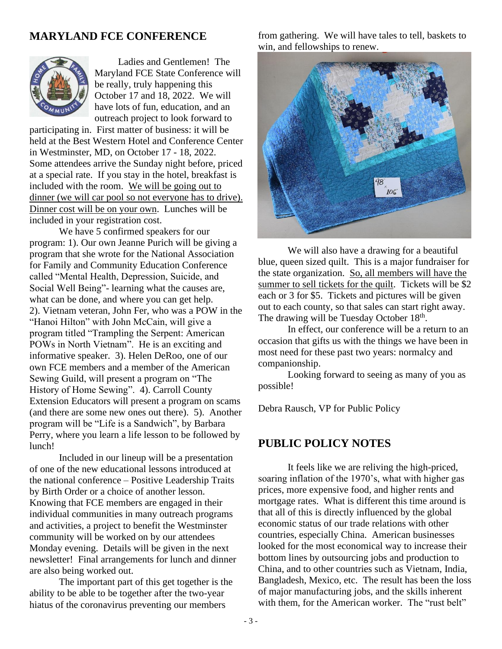## **MARYLAND FCE CONFERENCE**



Ladies and Gentlemen! The Maryland FCE State Conference will be really, truly happening this October 17 and 18, 2022. We will have lots of fun, education, and an outreach project to look forward to

participating in. First matter of business: it will be held at the Best Western Hotel and Conference Center in Westminster, MD, on October 17 - 18, 2022. Some attendees arrive the Sunday night before, priced at a special rate. If you stay in the hotel, breakfast is included with the room. We will be going out to dinner (we will car pool so not everyone has to drive). Dinner cost will be on your own. Lunches will be included in your registration cost.

We have 5 confirmed speakers for our program: 1). Our own Jeanne Purich will be giving a program that she wrote for the National Association for Family and Community Education Conference called "Mental Health, Depression, Suicide, and Social Well Being"- learning what the causes are, what can be done, and where you can get help. 2). Vietnam veteran, John Fer, who was a POW in the "Hanoi Hilton" with John McCain, will give a program titled "Trampling the Serpent: American POWs in North Vietnam". He is an exciting and informative speaker. 3). Helen DeRoo, one of our own FCE members and a member of the American Sewing Guild, will present a program on "The History of Home Sewing". 4). Carroll County Extension Educators will present a program on scams (and there are some new ones out there). 5). Another program will be "Life is a Sandwich", by Barbara Perry, where you learn a life lesson to be followed by lunch!

Included in our lineup will be a presentation of one of the new educational lessons introduced at the national conference – Positive Leadership Traits by Birth Order or a choice of another lesson. Knowing that FCE members are engaged in their individual communities in many outreach programs and activities, a project to benefit the Westminster community will be worked on by our attendees Monday evening. Details will be given in the next newsletter! Final arrangements for lunch and dinner are also being worked out.

The important part of this get together is the ability to be able to be together after the two-year hiatus of the coronavirus preventing our members

from gathering. We will have tales to tell, baskets to win, and fellowships to renew.



We will also have a drawing for a beautiful blue, queen sized quilt. This is a major fundraiser for the state organization. So, all members will have the summer to sell tickets for the quilt. Tickets will be \$2 each or 3 for \$5. Tickets and pictures will be given out to each county, so that sales can start right away. The drawing will be Tuesday October 18<sup>th</sup>.

In effect, our conference will be a return to an occasion that gifts us with the things we have been in most need for these past two years: normalcy and companionship.

Looking forward to seeing as many of you as possible!

Debra Rausch, VP for Public Policy

# **PUBLIC POLICY NOTES**

It feels like we are reliving the high-priced, soaring inflation of the 1970's, what with higher gas prices, more expensive food, and higher rents and mortgage rates. What is different this time around is that all of this is directly influenced by the global economic status of our trade relations with other countries, especially China. American businesses looked for the most economical way to increase their bottom lines by outsourcing jobs and production to China, and to other countries such as Vietnam, India, Bangladesh, Mexico, etc. The result has been the loss of major manufacturing jobs, and the skills inherent with them, for the American worker. The "rust belt"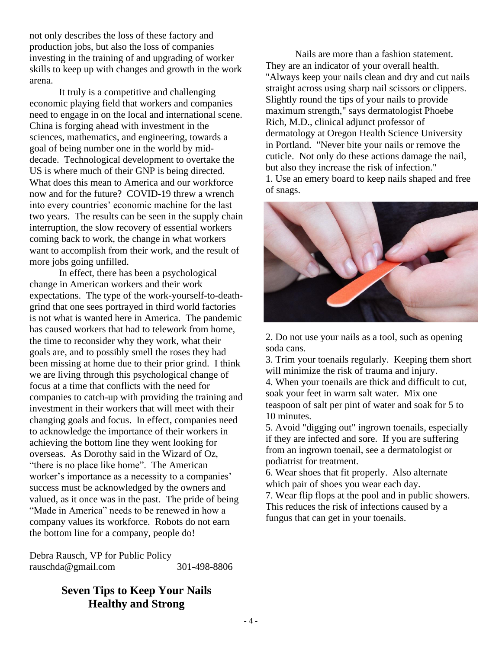not only describes the loss of these factory and production jobs, but also the loss of companies investing in the training of and upgrading of worker skills to keep up with changes and growth in the work arena.

It truly is a competitive and challenging economic playing field that workers and companies need to engage in on the local and international scene. China is forging ahead with investment in the sciences, mathematics, and engineering, towards a goal of being number one in the world by middecade. Technological development to overtake the US is where much of their GNP is being directed. What does this mean to America and our workforce now and for the future? COVID-19 threw a wrench into every countries' economic machine for the last two years. The results can be seen in the supply chain interruption, the slow recovery of essential workers coming back to work, the change in what workers want to accomplish from their work, and the result of more jobs going unfilled.

In effect, there has been a psychological change in American workers and their work expectations. The type of the work-yourself-to-deathgrind that one sees portrayed in third world factories is not what is wanted here in America. The pandemic has caused workers that had to telework from home, the time to reconsider why they work, what their goals are, and to possibly smell the roses they had been missing at home due to their prior grind. I think we are living through this psychological change of focus at a time that conflicts with the need for companies to catch-up with providing the training and investment in their workers that will meet with their changing goals and focus. In effect, companies need to acknowledge the importance of their workers in achieving the bottom line they went looking for overseas. As Dorothy said in the Wizard of Oz, "there is no place like home". The American worker's importance as a necessity to a companies' success must be acknowledged by the owners and valued, as it once was in the past. The pride of being "Made in America" needs to be renewed in how a company values its workforce. Robots do not earn the bottom line for a company, people do!

Debra Rausch, VP for Public Policy [rauschda@gmail.com](about:blank) 301-498-8806

> **Seven Tips to Keep Your Nails Healthy and Strong**

Nails are more than a fashion statement. They are an indicator of your overall health. "Always keep your nails clean and dry and cut nails straight across using sharp nail scissors or clippers. Slightly round the tips of your nails to provide maximum strength," says dermatologist Phoebe Rich, M.D., clinical adjunct professor of dermatology at Oregon Health Science University in Portland. "Never bite your nails or remove the cuticle. Not only do these actions damage the nail, but also they increase the risk of infection." 1. Use an emery board to keep nails shaped and free

of snags.



2. Do not use your nails as a tool, such as opening soda cans.

3. Trim your toenails regularly. Keeping them short will minimize the risk of trauma and injury.

4. When your toenails are thick and difficult to cut, soak your feet in warm salt water. Mix one teaspoon of salt per pint of water and soak for 5 to 10 minutes.

5. Avoid "digging out" ingrown toenails, especially if they are infected and sore. If you are suffering from an ingrown toenail, see a dermatologist or podiatrist for treatment.

6. Wear shoes that fit properly. Also alternate which pair of shoes you wear each day. 7. Wear flip flops at the pool and in public showers. This reduces the risk of infections caused by a fungus that can get in your toenails.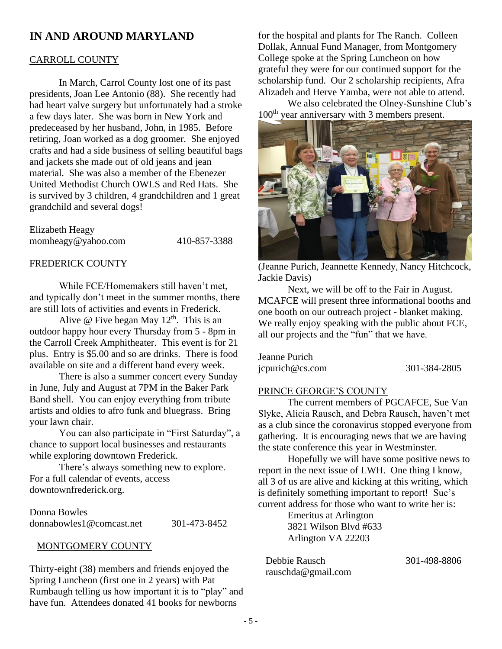# **IN AND AROUND MARYLAND**

#### CARROLL COUNTY

In March, Carrol County lost one of its past presidents, Joan Lee Antonio (88). She recently had had heart valve surgery but unfortunately had a stroke a few days later. She was born in New York and predeceased by her husband, John, in 1985. Before retiring, Joan worked as a dog groomer. She enjoyed crafts and had a side business of selling beautiful bags and jackets she made out of old jeans and jean material. She was also a member of the Ebenezer United Methodist Church OWLS and Red Hats. She is survived by 3 children, 4 grandchildren and 1 great grandchild and several dogs!

| Elizabeth Heagy    |              |
|--------------------|--------------|
| momheagy@yahoo.com | 410-857-3388 |

#### FREDERICK COUNTY

While FCE/Homemakers still haven't met, and typically don't meet in the summer months, there are still lots of activities and events in Frederick.

Alive  $\omega$  Five began May 12<sup>th</sup>. This is an outdoor happy hour every Thursday from 5 - 8pm in the Carroll Creek Amphitheater. This event is for 21 plus. Entry is \$5.00 and so are drinks. There is food available on site and a different band every week.

There is also a summer concert every Sunday in June, July and August at 7PM in the Baker Park Band shell. You can enjoy everything from tribute artists and oldies to afro funk and bluegrass. Bring your lawn chair.

You can also participate in "First Saturday", a chance to support local businesses and restaurants while exploring downtown Frederick.

There's always something new to explore. For a full calendar of events, access downtownfrederick.org.

Donna Bowles [donnabowles1@comcast.net](about:blank) 301-473-8452

#### MONTGOMERY COUNTY

Thirty-eight (38) members and friends enjoyed the Spring Luncheon (first one in 2 years) with Pat Rumbaugh telling us how important it is to "play" and have fun. Attendees donated 41 books for newborns

for the hospital and plants for The Ranch. Colleen Dollak, Annual Fund Manager, from Montgomery College spoke at the Spring Luncheon on how grateful they were for our continued support for the scholarship fund. Our 2 scholarship recipients, Afra Alizadeh and Herve Yamba, were not able to attend.

We also celebrated the Olney-Sunshine Club's 100<sup>th</sup> year anniversary with 3 members present.



(Jeanne Purich, Jeannette Kennedy, Nancy Hitchcock, Jackie Davis)

Next, we will be off to the Fair in August. MCAFCE will present three informational booths and one booth on our outreach project - blanket making. We really enjoy speaking with the public about FCE, all our projects and the "fun" that we have.

| Jeanne Purich   |              |
|-----------------|--------------|
| jcpurich@cs.com | 301-384-2805 |

#### PRINCE GEORGE'S COUNTY

The current members of PGCAFCE, Sue Van Slyke, Alicia Rausch, and Debra Rausch, haven't met as a club since the coronavirus stopped everyone from gathering. It is encouraging news that we are having the state conference this year in Westminster.

Hopefully we will have some positive news to report in the next issue of LWH. One thing I know, all 3 of us are alive and kicking at this writing, which is definitely something important to report! Sue's current address for those who want to write her is:

> Emeritus at Arlington 3821 Wilson Blvd #633 Arlington VA 22203

Debbie Rausch 301-498-8806 [rauschda@gmail.com](about:blank)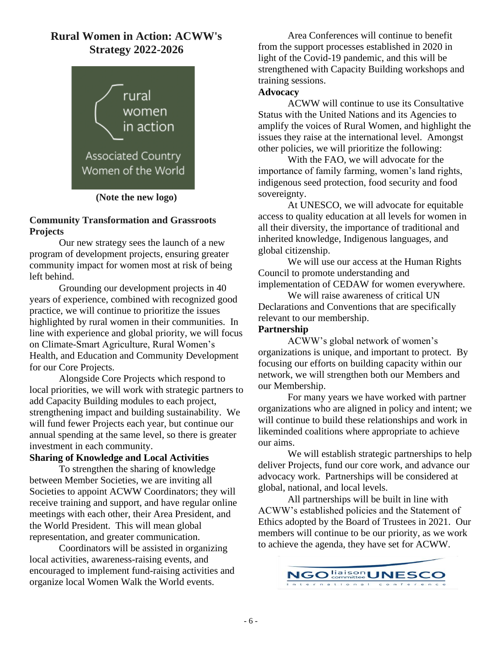# **Rural Women in Action: ACWW's Strategy 2022-2026**



**(Note the new logo)**

#### **Community Transformation and Grassroots Projects**

Our new strategy sees the launch of a new program of development projects, ensuring greater community impact for women most at risk of being left behind.

Grounding our development projects in 40 years of experience, combined with recognized good practice, we will continue to prioritize the issues highlighted by rural women in their communities. In line with experience and global priority, we will focus on Climate-Smart Agriculture, Rural Women's Health, and Education and Community Development for our Core Projects.

Alongside Core Projects which respond to local priorities, we will work with strategic partners to add Capacity Building modules to each project, strengthening impact and building sustainability. We will fund fewer Projects each year, but continue our annual spending at the same level, so there is greater investment in each community.

#### **Sharing of Knowledge and Local Activities**

To strengthen the sharing of knowledge between Member Societies, we are inviting all Societies to appoint ACWW Coordinators; they will receive training and support, and have regular online meetings with each other, their Area President, and the World President. This will mean global representation, and greater communication.

Coordinators will be assisted in organizing local activities, awareness-raising events, and encouraged to implement fund-raising activities and organize local Women Walk the World events.

Area Conferences will continue to benefit from the support processes established in 2020 in light of the Covid-19 pandemic, and this will be strengthened with Capacity Building workshops and training sessions.

#### **Advocacy**

ACWW will continue to use its Consultative Status with the United Nations and its Agencies to amplify the voices of Rural Women, and highlight the issues they raise at the international level. Amongst other policies, we will prioritize the following:

With the FAO, we will advocate for the importance of family farming, women's land rights, indigenous seed protection, food security and food sovereignty.

At UNESCO, we will advocate for equitable access to quality education at all levels for women in all their diversity, the importance of traditional and inherited knowledge, Indigenous languages, and global citizenship.

We will use our access at the Human Rights Council to promote understanding and implementation of CEDAW for women everywhere.

We will raise awareness of critical UN Declarations and Conventions that are specifically relevant to our membership.

#### **Partnership**

ACWW's global network of women's organizations is unique, and important to protect. By focusing our efforts on building capacity within our network, we will strengthen both our Members and our Membership.

For many years we have worked with partner organizations who are aligned in policy and intent; we will continue to build these relationships and work in likeminded coalitions where appropriate to achieve our aims.

We will establish strategic partnerships to help deliver Projects, fund our core work, and advance our advocacy work. Partnerships will be considered at global, national, and local levels.

All partnerships will be built in line with ACWW's established policies and the Statement of Ethics adopted by the Board of Trustees in 2021. Our members will continue to be our priority, as we work to achieve the agenda, they have set for ACWW.

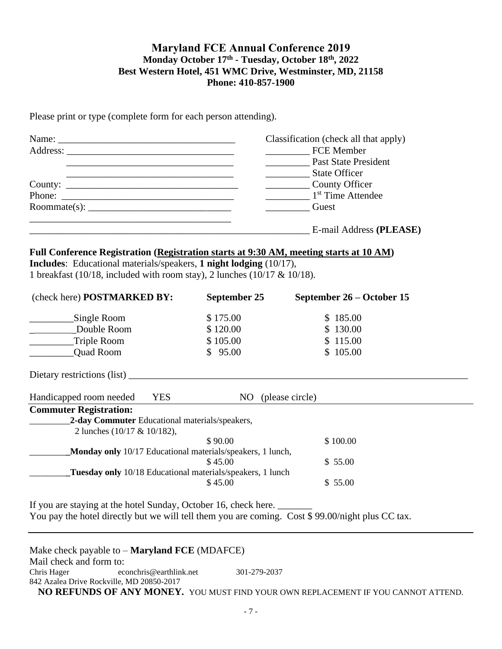#### **Maryland FCE Annual Conference 2019 Monday October 17th - Tuesday, October 18th, 2022 Best Western Hotel, 451 WMC Drive, Westminster, MD, 21158 Phone: 410-857-1900**

Please print or type (complete form for each person attending).

| Name:  | Classification (check all that apply) |
|--------|---------------------------------------|
|        | FCE Member                            |
|        | Past State President                  |
|        | <b>State Officer</b>                  |
|        | County Officer                        |
| Phone: | 1 <sup>st</sup> Time Attendee         |
|        | <b>Solution</b> Guest                 |
|        | E-mail Address (PLEASE)               |

#### **Full Conference Registration (Registration starts at 9:30 AM, meeting starts at 10 AM) Includes**: Educational materials/speakers, **1 night lodging** (10/17), 1 breakfast (10/18, included with room stay), 2 lunches (10/17 & 10/18).

| (check here) POSTMARKED BY:                                       | September 25 | September 26 – October 15 |
|-------------------------------------------------------------------|--------------|---------------------------|
| Single Room                                                       | \$175.00     | \$185.00                  |
| Double Room                                                       | \$120.00     | \$130.00                  |
| Triple Room                                                       | \$105.00     | \$115.00                  |
| <b>Quad Room</b>                                                  | \$95.00      | \$105.00                  |
| Dietary restrictions (list)                                       |              |                           |
| <b>YES</b><br>Handicapped room needed                             | NO.          | (please circle)           |
| <b>Commuter Registration:</b>                                     |              |                           |
| 2-day Commuter Educational materials/speakers,                    |              |                           |
| 2 lunches (10/17 & 10/182),                                       |              |                           |
|                                                                   | \$90.00      | \$100.00                  |
| <b>Monday only</b> 10/17 Educational materials/speakers, 1 lunch, |              |                           |
|                                                                   | \$45.00      | \$55.00                   |
| Tuesday only 10/18 Educational materials/speakers, 1 lunch        |              |                           |
|                                                                   | \$45.00      | \$55.00                   |
|                                                                   |              |                           |

If you are staying at the hotel Sunday, October 16, check here. \_\_\_\_\_\_\_\_\_\_\_\_\_\_\_\_\_ You pay the hotel directly but we will tell them you are coming. Cost \$ 99.00/night plus CC tax.

Make check payable to – **Maryland FCE** (MDAFCE) Mail check and form to: Chris Hager econchris@earthlink.net 301-279-2037 842 Azalea Drive Rockville, MD 20850-2017 **NO REFUNDS OF ANY MONEY.** YOU MUST FIND YOUR OWN REPLACEMENT IF YOU CANNOT ATTEND.